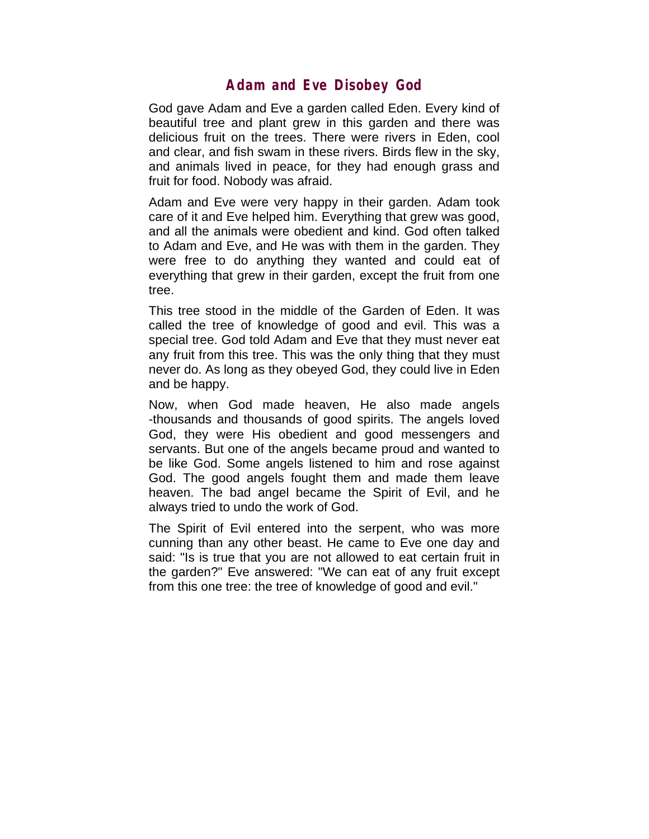## **Adam and Eve Disobey God**

God gave Adam and Eve a garden called Eden. Every kind of beautiful tree and plant grew in this garden and there was delicious fruit on the trees. There were rivers in Eden, cool and clear, and fish swam in these rivers. Birds flew in the sky, and animals lived in peace, for they had enough grass and fruit for food. Nobody was afraid.

Adam and Eve were very happy in their garden. Adam took care of it and Eve helped him. Everything that grew was good, and all the animals were obedient and kind. God often talked to Adam and Eve, and He was with them in the garden. They were free to do anything they wanted and could eat of everything that grew in their garden, except the fruit from one tree.

This tree stood in the middle of the Garden of Eden. It was called the tree of knowledge of good and evil. This was a special tree. God told Adam and Eve that they must never eat any fruit from this tree. This was the only thing that they must never do. As long as they obeyed God, they could live in Eden and be happy.

Now, when God made heaven, He also made angels -thousands and thousands of good spirits. The angels loved God, they were His obedient and good messengers and servants. But one of the angels became proud and wanted to be like God. Some angels listened to him and rose against God. The good angels fought them and made them leave heaven. The bad angel became the Spirit of Evil, and he always tried to undo the work of God.

The Spirit of Evil entered into the serpent, who was more cunning than any other beast. He came to Eve one day and said: "Is is true that you are not allowed to eat certain fruit in the garden?" Eve answered: "We can eat of any fruit except from this one tree: the tree of knowledge of good and evil."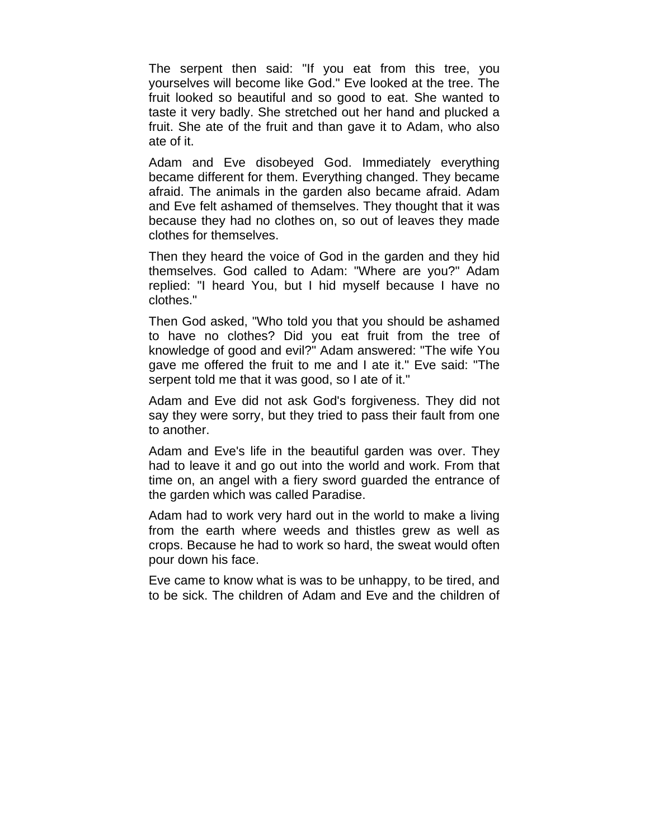The serpent then said: "If you eat from this tree, you yourselves will become like God." Eve looked at the tree. The fruit looked so beautiful and so good to eat. She wanted to taste it very badly. She stretched out her hand and plucked a fruit. She ate of the fruit and than gave it to Adam, who also ate of it.

Adam and Eve disobeyed God. Immediately everything became different for them. Everything changed. They became afraid. The animals in the garden also became afraid. Adam and Eve felt ashamed of themselves. They thought that it was because they had no clothes on, so out of leaves they made clothes for themselves.

Then they heard the voice of God in the garden and they hid themselves. God called to Adam: "Where are you?" Adam replied: "I heard You, but I hid myself because I have no clothes."

Then God asked, "Who told you that you should be ashamed to have no clothes? Did you eat fruit from the tree of knowledge of good and evil?" Adam answered: "The wife You gave me offered the fruit to me and I ate it." Eve said: "The serpent told me that it was good, so I ate of it."

Adam and Eve did not ask God's forgiveness. They did not say they were sorry, but they tried to pass their fault from one to another.

Adam and Eve's life in the beautiful garden was over. They had to leave it and go out into the world and work. From that time on, an angel with a fiery sword guarded the entrance of the garden which was called Paradise.

Adam had to work very hard out in the world to make a living from the earth where weeds and thistles grew as well as crops. Because he had to work so hard, the sweat would often pour down his face.

Eve came to know what is was to be unhappy, to be tired, and to be sick. The children of Adam and Eve and the children of